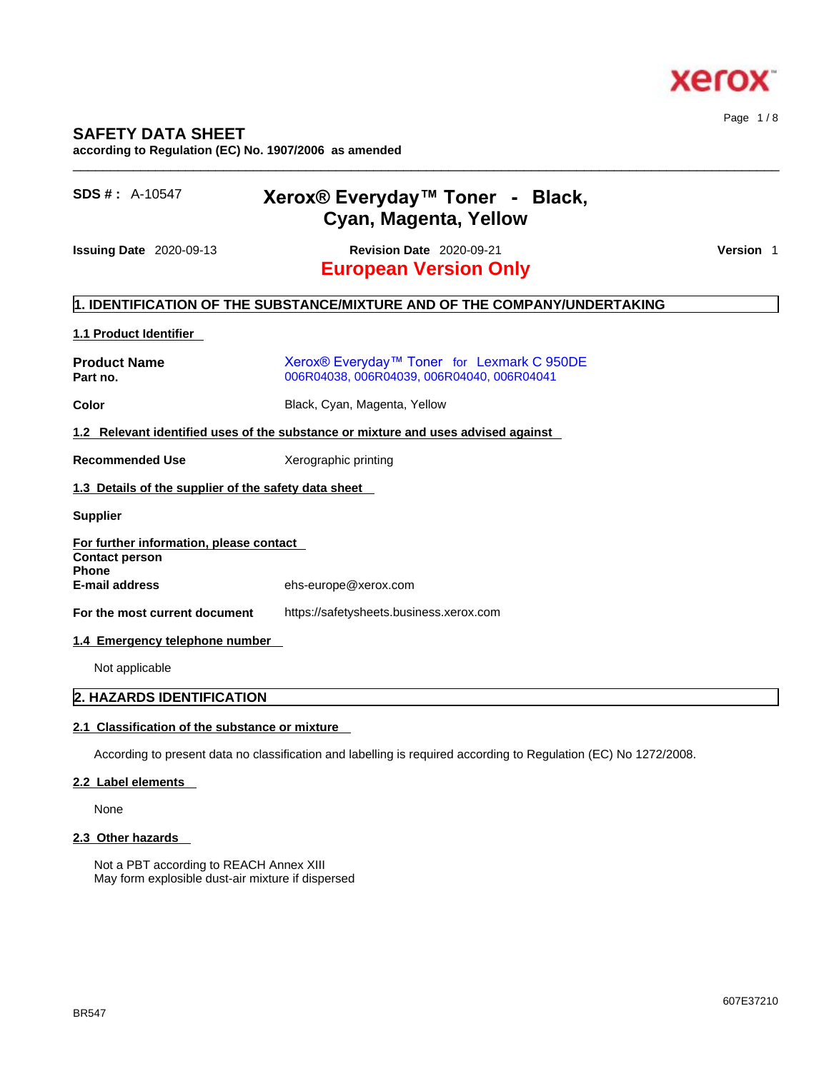

# **SAFETY DATA SHEET**

**according to Regulation (EC) No. 1907/2006 as amended** 

| $SDS # : A-10547$                                                | Xerox® Everyday™ Toner - Black,<br>Cyan, Magenta, Yellow                                 |           |
|------------------------------------------------------------------|------------------------------------------------------------------------------------------|-----------|
| <b>Issuing Date 2020-09-13</b>                                   | <b>Revision Date 2020-09-21</b><br><b>European Version Only</b>                          | Version 1 |
|                                                                  | 1. IDENTIFICATION OF THE SUBSTANCE/MIXTURE AND OF THE COMPANY/UNDERTAKING                |           |
| 1.1 Product Identifier                                           |                                                                                          |           |
| <b>Product Name</b><br>Part no.                                  | Xerox® Everyday™ Toner for Lexmark C 950DE<br>006R04038, 006R04039, 006R04040, 006R04041 |           |
| Color                                                            | Black, Cyan, Magenta, Yellow                                                             |           |
|                                                                  | 1.2 Relevant identified uses of the substance or mixture and uses advised against        |           |
| <b>Recommended Use</b>                                           | Xerographic printing                                                                     |           |
| 1.3 Details of the supplier of the safety data sheet             |                                                                                          |           |
| <b>Supplier</b>                                                  |                                                                                          |           |
| For further information, please contact<br><b>Contact person</b> |                                                                                          |           |
| <b>Phone</b><br><b>E-mail address</b>                            | ehs-europe@xerox.com                                                                     |           |
| For the most current document                                    | https://safetysheets.business.xerox.com                                                  |           |
| 1.4 Emergency telephone number                                   |                                                                                          |           |
| Not applicable                                                   |                                                                                          |           |

\_\_\_\_\_\_\_\_\_\_\_\_\_\_\_\_\_\_\_\_\_\_\_\_\_\_\_\_\_\_\_\_\_\_\_\_\_\_\_\_\_\_\_\_\_\_\_\_\_\_\_\_\_\_\_\_\_\_\_\_\_\_\_\_\_\_\_\_\_\_\_\_\_\_\_\_\_\_\_\_\_\_\_\_\_\_\_\_\_\_\_\_\_\_

# **2. HAZARDS IDENTIFICATION**

# **2.1 Classification of the substance or mixture**

According to present data no classification and labelling is required according to Regulation (EC) No 1272/2008.

# **2.2 Label elements**

None

# **2.3 Other hazards**

Not a PBT according to REACH Annex XIII May form explosible dust-air mixture if dispersed Page 1 / 8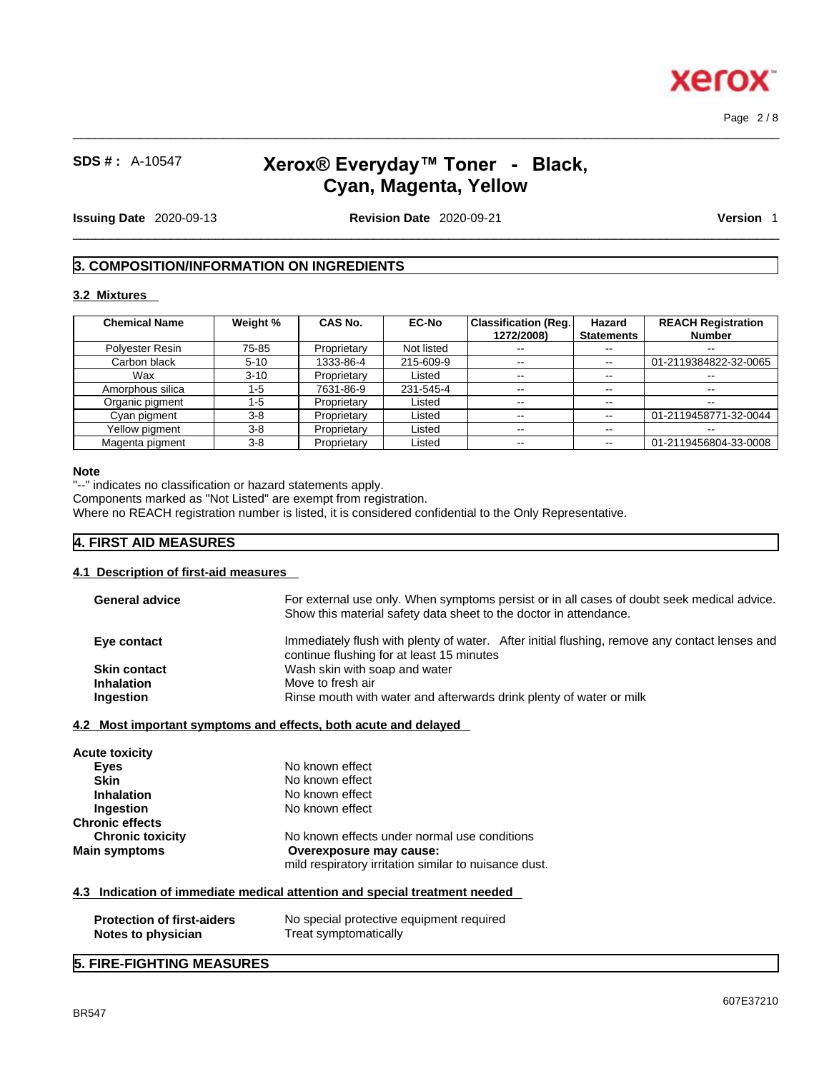

Page 2 / 8

# **SDS # :** A-10547 **Xerox® Everyday™ Toner - Black, Cyan, Magenta, Yellow**

 $\_$  ,  $\_$  ,  $\_$  ,  $\_$  ,  $\_$  ,  $\_$  ,  $\_$  ,  $\_$  ,  $\_$  ,  $\_$  ,  $\_$  ,  $\_$  ,  $\_$  ,  $\_$  ,  $\_$  ,  $\_$  ,  $\_$  ,  $\_$  ,  $\_$  ,  $\_$  ,  $\_$  ,  $\_$  ,  $\_$  ,  $\_$  ,  $\_$  ,  $\_$  ,  $\_$  ,  $\_$  ,  $\_$  ,  $\_$  ,  $\_$  ,  $\_$  ,  $\_$  ,  $\_$  ,  $\_$  ,  $\_$  ,  $\_$  ,

 $\_$  ,  $\_$  ,  $\_$  ,  $\_$  ,  $\_$  ,  $\_$  ,  $\_$  ,  $\_$  ,  $\_$  ,  $\_$  ,  $\_$  ,  $\_$  ,  $\_$  ,  $\_$  ,  $\_$  ,  $\_$  ,  $\_$  ,  $\_$  ,  $\_$  ,  $\_$  ,  $\_$  ,  $\_$  ,  $\_$  ,  $\_$  ,  $\_$  ,  $\_$  ,  $\_$  ,  $\_$  ,  $\_$  ,  $\_$  ,  $\_$  ,  $\_$  ,  $\_$  ,  $\_$  ,  $\_$  ,  $\_$  ,  $\_$  ,

**Issuing Date** 2020-09-13 **Revision Date** 2020-09-21 **Version** 1

# **3. COMPOSITION/INFORMATION ON INGREDIENTS**

#### **3.2 Mixtures**

| <b>Chemical Name</b> | Weight % | <b>CAS No.</b> | <b>EC-No</b> | Classification (Req.)<br>1272/2008) | Hazard<br><b>Statements</b> | <b>REACH Registration</b><br><b>Number</b> |
|----------------------|----------|----------------|--------------|-------------------------------------|-----------------------------|--------------------------------------------|
| Polyester Resin      | 75-85    | Proprietary    | Not listed   | $\sim$ $-$                          | $- -$                       | --                                         |
| Carbon black         | $5 - 10$ | 1333-86-4      | 215-609-9    | $\overline{\phantom{m}}$            | $- -$                       | 01-2119384822-32-0065                      |
| Wax                  | $3 - 10$ | Proprietary    | Listed       | $- -$                               | $\overline{\phantom{m}}$    | $- -$                                      |
| Amorphous silica     | 1-5      | 7631-86-9      | 231-545-4    | $\sim$ $-$                          | $\overline{\phantom{m}}$    | $- -$                                      |
| Organic pigment      | $1 - 5$  | Proprietary    | Listed       | $\sim$ $-$                          | --                          |                                            |
| Cyan pigment         | $3-8$    | Proprietary    | Listed       | $- -$                               | $\overline{\phantom{a}}$    | 01-2119458771-32-0044                      |
| Yellow pigment       | $3-8$    | Proprietary    | Listed       | $\overline{\phantom{m}}$            | $\overline{\phantom{m}}$    | $\overline{\phantom{m}}$                   |
| Magenta pigment      | $3-8$    | Proprietary    | Listed       | $\sim$ $-$                          |                             | 01-2119456804-33-0008                      |

#### **Note**

"--" indicates no classification or hazard statements apply.

Components marked as "Not Listed" are exempt from registration.

Where no REACH registration number is listed, it is considered confidential to the Only Representative.

# **4. FIRST AID MEASURES**

# **4.1 Description of first-aid measures**

| <b>General advice</b> | For external use only. When symptoms persist or in all cases of doubt seek medical advice.<br>Show this material safety data sheet to the doctor in attendance. |
|-----------------------|-----------------------------------------------------------------------------------------------------------------------------------------------------------------|
| Eye contact           | Immediately flush with plenty of water. After initial flushing, remove any contact lenses and<br>continue flushing for at least 15 minutes                      |
| <b>Skin contact</b>   | Wash skin with soap and water                                                                                                                                   |
| <b>Inhalation</b>     | Move to fresh air                                                                                                                                               |
| Ingestion             | Rinse mouth with water and afterwards drink plenty of water or milk                                                                                             |
|                       |                                                                                                                                                                 |

#### **4.2 Most important symptoms and effects, both acute and delayed**

| <b>Acute toxicity</b>   |                                                       |  |
|-------------------------|-------------------------------------------------------|--|
| Eyes                    | No known effect                                       |  |
| <b>Skin</b>             | No known effect                                       |  |
| <b>Inhalation</b>       | No known effect                                       |  |
| Ingestion               | No known effect                                       |  |
| <b>Chronic effects</b>  |                                                       |  |
| <b>Chronic toxicity</b> | No known effects under normal use conditions          |  |
| <b>Main symptoms</b>    | Overexposure may cause:                               |  |
|                         | mild respiratory irritation similar to nuisance dust. |  |
|                         |                                                       |  |

# **4.3 Indication of immediate medical attention and special treatment needed**

| <b>Protection of first-aiders</b> | No special protective equipment required |
|-----------------------------------|------------------------------------------|
| Notes to physician                | Treat symptomatically                    |

# **5. FIRE-FIGHTING MEASURES**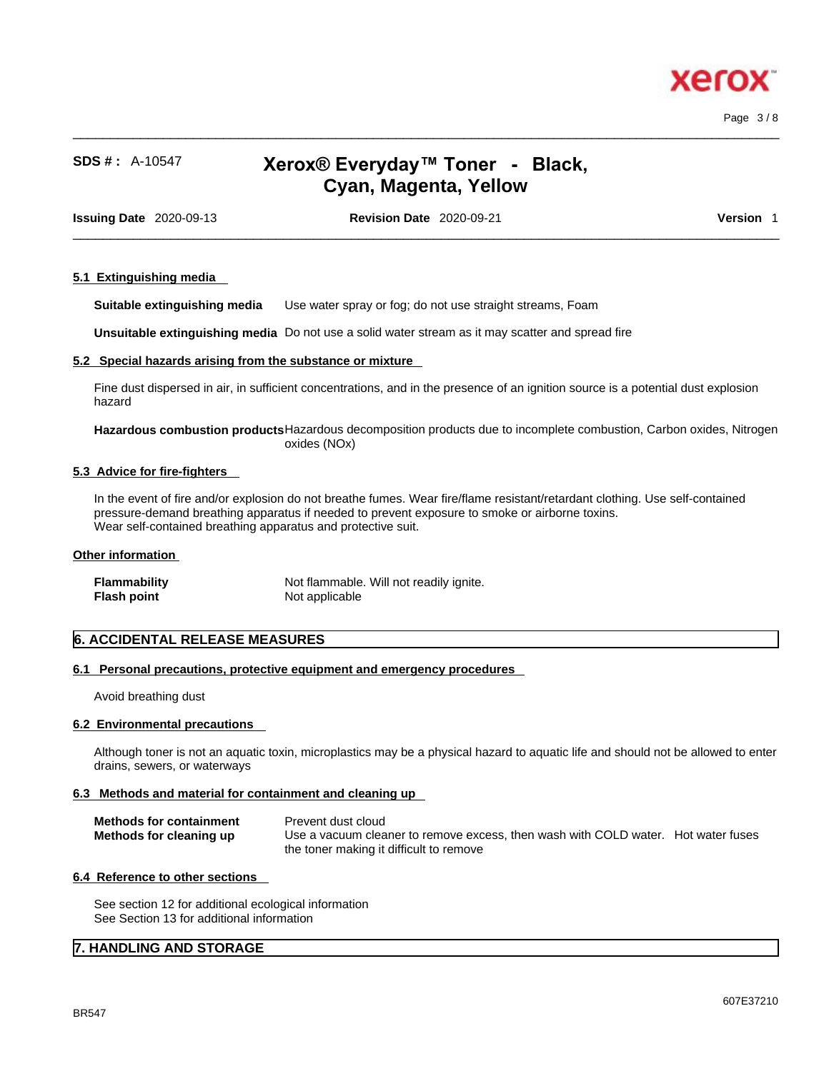

Page 3 / 8

# **SDS # :** A-10547 **Xerox® Everyday™ Toner - Black, Cyan, Magenta, Yellow**

 $\_$  ,  $\_$  ,  $\_$  ,  $\_$  ,  $\_$  ,  $\_$  ,  $\_$  ,  $\_$  ,  $\_$  ,  $\_$  ,  $\_$  ,  $\_$  ,  $\_$  ,  $\_$  ,  $\_$  ,  $\_$  ,  $\_$  ,  $\_$  ,  $\_$  ,  $\_$  ,  $\_$  ,  $\_$  ,  $\_$  ,  $\_$  ,  $\_$  ,  $\_$  ,  $\_$  ,  $\_$  ,  $\_$  ,  $\_$  ,  $\_$  ,  $\_$  ,  $\_$  ,  $\_$  ,  $\_$  ,  $\_$  ,  $\_$  ,

**Issuing Date** 2020-09-13 **Revision Date** 2020-09-21 **Version** 1

 $\_$  ,  $\_$  ,  $\_$  ,  $\_$  ,  $\_$  ,  $\_$  ,  $\_$  ,  $\_$  ,  $\_$  ,  $\_$  ,  $\_$  ,  $\_$  ,  $\_$  ,  $\_$  ,  $\_$  ,  $\_$  ,  $\_$  ,  $\_$  ,  $\_$  ,  $\_$  ,  $\_$  ,  $\_$  ,  $\_$  ,  $\_$  ,  $\_$  ,  $\_$  ,  $\_$  ,  $\_$  ,  $\_$  ,  $\_$  ,  $\_$  ,  $\_$  ,  $\_$  ,  $\_$  ,  $\_$  ,  $\_$  ,  $\_$  ,

#### **5.1 Extinguishing media**

**Suitable extinguishing media** Use water spray or fog; do not use straight streams, Foam

**Unsuitable extinguishing media** Do not use a solid water stream as it may scatterand spread fire

#### **5.2 Special hazards arising from the substance or mixture**

Fine dust dispersed in air, in sufficient concentrations, and in the presence of an ignition source is a potential dust explosion hazard

### **Hazardous combustion products**Hazardous decomposition products due to incomplete combustion, Carbon oxides, Nitrogen oxides (NOx)

#### **5.3 Advice for fire-fighters**

In the event of fire and/or explosion do not breathe fumes. Wear fire/flame resistant/retardant clothing. Use self-contained pressure-demand breathing apparatus if needed to prevent exposure to smoke or airborne toxins. Wear self-contained breathing apparatus and protective suit.

#### **Other information**

| <b>Flammability</b> | Not flammable. Will not readily ignite. |
|---------------------|-----------------------------------------|
| Flash point         | Not applicable                          |

# **6. ACCIDENTAL RELEASE MEASURES**

# **6.1 Personal precautions, protective equipment and emergency procedures**

Avoid breathing dust

#### **6.2 Environmental precautions**

Although toner is not an aquatic toxin, microplastics may be a physical hazard to aquatic life and should not be allowed to enter drains, sewers, or waterways

# **6.3 Methods and material for containment and cleaning up**

| <b>Methods for containment</b> | Prevent dust cloud                                                                |  |
|--------------------------------|-----------------------------------------------------------------------------------|--|
| Methods for cleaning up        | Use a vacuum cleaner to remove excess, then wash with COLD water. Hot water fuses |  |
|                                | the toner making it difficult to remove                                           |  |

#### **6.4 Reference to other sections**

See section 12 for additional ecological information See Section 13 for additional information

# **7. HANDLING AND STORAGE**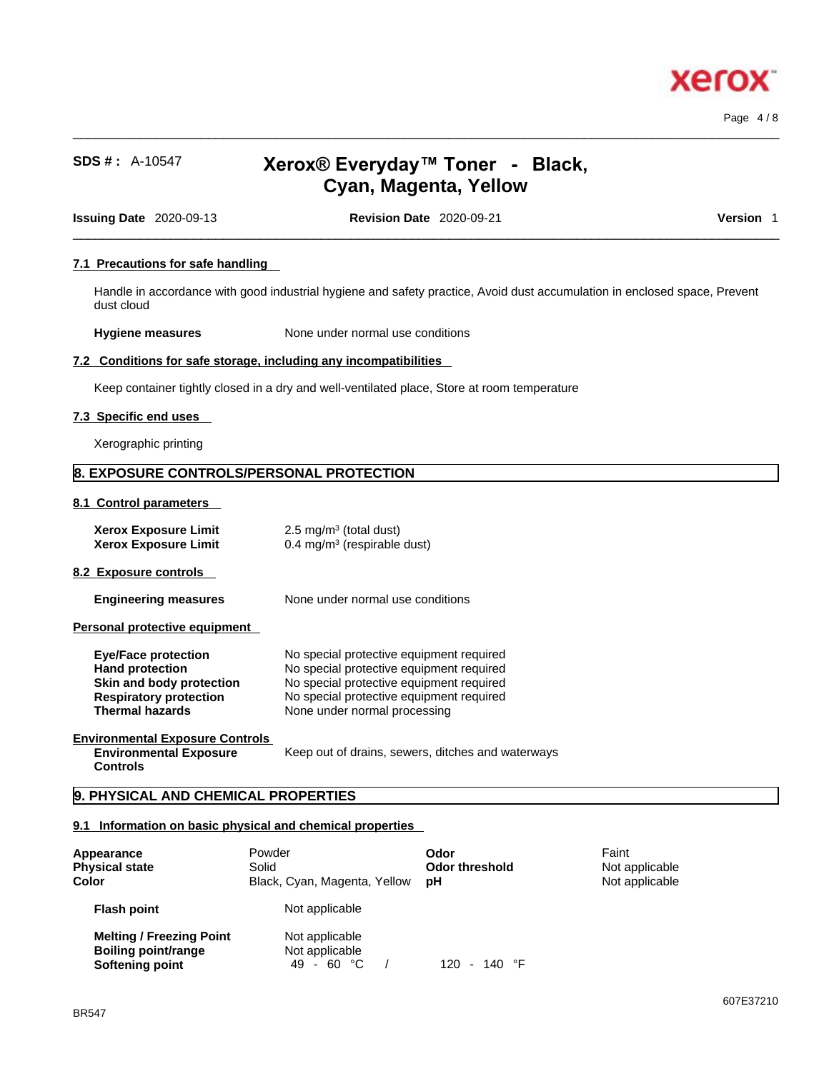

Page 4 / 8

# **SDS # :** A-10547 **Xerox® Everyday™ Toner - Black, Cyan, Magenta, Yellow**

 $\_$  ,  $\_$  ,  $\_$  ,  $\_$  ,  $\_$  ,  $\_$  ,  $\_$  ,  $\_$  ,  $\_$  ,  $\_$  ,  $\_$  ,  $\_$  ,  $\_$  ,  $\_$  ,  $\_$  ,  $\_$  ,  $\_$  ,  $\_$  ,  $\_$  ,  $\_$  ,  $\_$  ,  $\_$  ,  $\_$  ,  $\_$  ,  $\_$  ,  $\_$  ,  $\_$  ,  $\_$  ,  $\_$  ,  $\_$  ,  $\_$  ,  $\_$  ,  $\_$  ,  $\_$  ,  $\_$  ,  $\_$  ,  $\_$  ,

**Issuing Date** 2020-09-13 **Revision Date** 2020-09-21 **Version** 1

 $\_$  ,  $\_$  ,  $\_$  ,  $\_$  ,  $\_$  ,  $\_$  ,  $\_$  ,  $\_$  ,  $\_$  ,  $\_$  ,  $\_$  ,  $\_$  ,  $\_$  ,  $\_$  ,  $\_$  ,  $\_$  ,  $\_$  ,  $\_$  ,  $\_$  ,  $\_$  ,  $\_$  ,  $\_$  ,  $\_$  ,  $\_$  ,  $\_$  ,  $\_$  ,  $\_$  ,  $\_$  ,  $\_$  ,  $\_$  ,  $\_$  ,  $\_$  ,  $\_$  ,  $\_$  ,  $\_$  ,  $\_$  ,  $\_$  ,

# **7.1 Precautions for safe handling**

Handle in accordance with good industrial hygiene and safety practice, Avoid dust accumulation in enclosed space, Prevent dust cloud

**Hygiene measures** None under normal use conditions

### **7.2 Conditions for safe storage, including any incompatibilities**

Keep container tightly closed in a dry and well-ventilated place, Store at room temperature

### **7.3 Specific end uses**

Xerographic printing

# **8. EXPOSURE CONTROLS/PERSONAL PROTECTION**

#### **8.1 Control parameters**

| <b>Xerox Exposure Limit</b><br><b>Xerox Exposure Limit</b> | 2.5 mg/m <sup>3</sup> (total dust)<br>$0.4 \text{ mg/m}^3$ (respirable dust) |
|------------------------------------------------------------|------------------------------------------------------------------------------|
| 8.2 Exposure controls                                      |                                                                              |
| <b>Engineering measures</b>                                | None under normal use conditions                                             |
| Personal protective equipment                              |                                                                              |
| <b>Eye/Face protection</b>                                 | No special protective equipment required                                     |

| <b>EVE/FACE DI OLECLIOII</b>  | <u>INO Special protective equipment required</u> |
|-------------------------------|--------------------------------------------------|
| <b>Hand protection</b>        | No special protective equipment required         |
| Skin and body protection      | No special protective equipment required         |
| <b>Respiratory protection</b> | No special protective equipment required         |
| <b>Thermal hazards</b>        | None under normal processing                     |

#### **Environmental Exposure Controls Environmental Exposure Controls**

Keep out of drains, sewers, ditches and waterways

# **9. PHYSICAL AND CHEMICAL PROPERTIES**

# **9.1 Information on basic physical and chemical properties**

| Appearance<br><b>Physical state</b><br>Color                                     | Powder<br>Solid<br>Black, Cyan, Magenta, Yellow | Odor<br>Odor threshold<br>рH | Faint<br>Not applicable<br>Not applicable |
|----------------------------------------------------------------------------------|-------------------------------------------------|------------------------------|-------------------------------------------|
| <b>Flash point</b>                                                               | Not applicable                                  |                              |                                           |
| <b>Melting / Freezing Point</b><br><b>Boiling point/range</b><br>Softening point | Not applicable<br>Not applicable<br>49 - 60 °C  | $120 - 140$ °F               |                                           |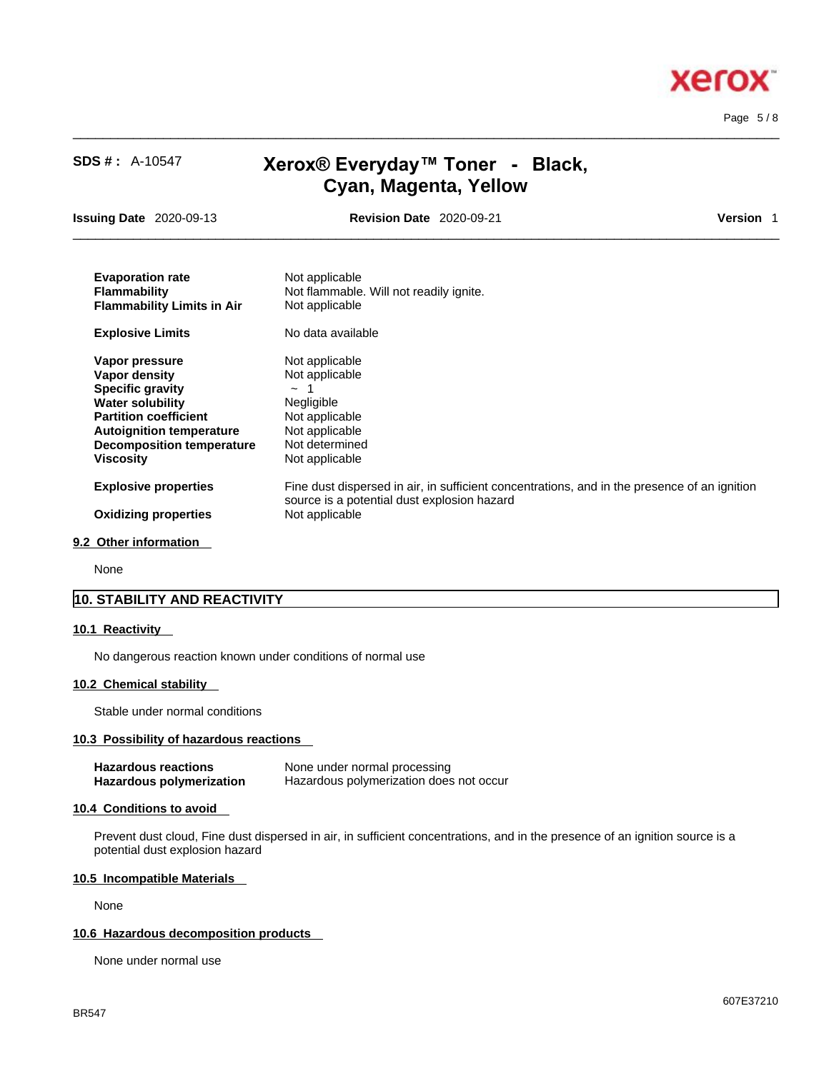

Page 5 / 8

| <b>SDS #: A-10547</b>                                                                                                                                                                                            | Xerox® Everyday™ Toner - Black,<br>Cyan, Magenta, Yellow                                                                                                      |           |
|------------------------------------------------------------------------------------------------------------------------------------------------------------------------------------------------------------------|---------------------------------------------------------------------------------------------------------------------------------------------------------------|-----------|
| <b>Issuing Date</b> 2020-09-13                                                                                                                                                                                   | <b>Revision Date 2020-09-21</b>                                                                                                                               | Version 1 |
| <b>Evaporation rate</b><br><b>Flammability</b><br><b>Flammability Limits in Air</b>                                                                                                                              | Not applicable<br>Not flammable. Will not readily ignite.<br>Not applicable                                                                                   |           |
| <b>Explosive Limits</b>                                                                                                                                                                                          | No data available                                                                                                                                             |           |
| Vapor pressure<br>Vapor density<br><b>Specific gravity</b><br><b>Water solubility</b><br><b>Partition coefficient</b><br><b>Autoignition temperature</b><br><b>Decomposition temperature</b><br><b>Viscosity</b> | Not applicable<br>Not applicable<br>$\sim$ 1<br>Negligible<br>Not applicable<br>Not applicable<br>Not determined<br>Not applicable                            |           |
| <b>Explosive properties</b><br><b>Oxidizing properties</b>                                                                                                                                                       | Fine dust dispersed in air, in sufficient concentrations, and in the presence of an ignition<br>source is a potential dust explosion hazard<br>Not applicable |           |

 $\_$  ,  $\_$  ,  $\_$  ,  $\_$  ,  $\_$  ,  $\_$  ,  $\_$  ,  $\_$  ,  $\_$  ,  $\_$  ,  $\_$  ,  $\_$  ,  $\_$  ,  $\_$  ,  $\_$  ,  $\_$  ,  $\_$  ,  $\_$  ,  $\_$  ,  $\_$  ,  $\_$  ,  $\_$  ,  $\_$  ,  $\_$  ,  $\_$  ,  $\_$  ,  $\_$  ,  $\_$  ,  $\_$  ,  $\_$  ,  $\_$  ,  $\_$  ,  $\_$  ,  $\_$  ,  $\_$  ,  $\_$  ,  $\_$  ,

#### **9.2 Other information**

None

# **10. STABILITY AND REACTIVITY**

#### **10.1 Reactivity**

No dangerous reaction known under conditions of normal use

# **10.2 Chemical stability**

Stable under normal conditions

# **10.3 Possibility of hazardous reactions**

| Hazardous reactions      | None under normal processing            |
|--------------------------|-----------------------------------------|
| Hazardous polymerization | Hazardous polymerization does not occur |

### **10.4 Conditions to avoid**

Prevent dust cloud, Fine dust dispersed in air, in sufficient concentrations, and in the presence of an ignition source is a potential dust explosion hazard

# **10.5 Incompatible Materials**

None

### **10.6 Hazardous decomposition products**

None under normal use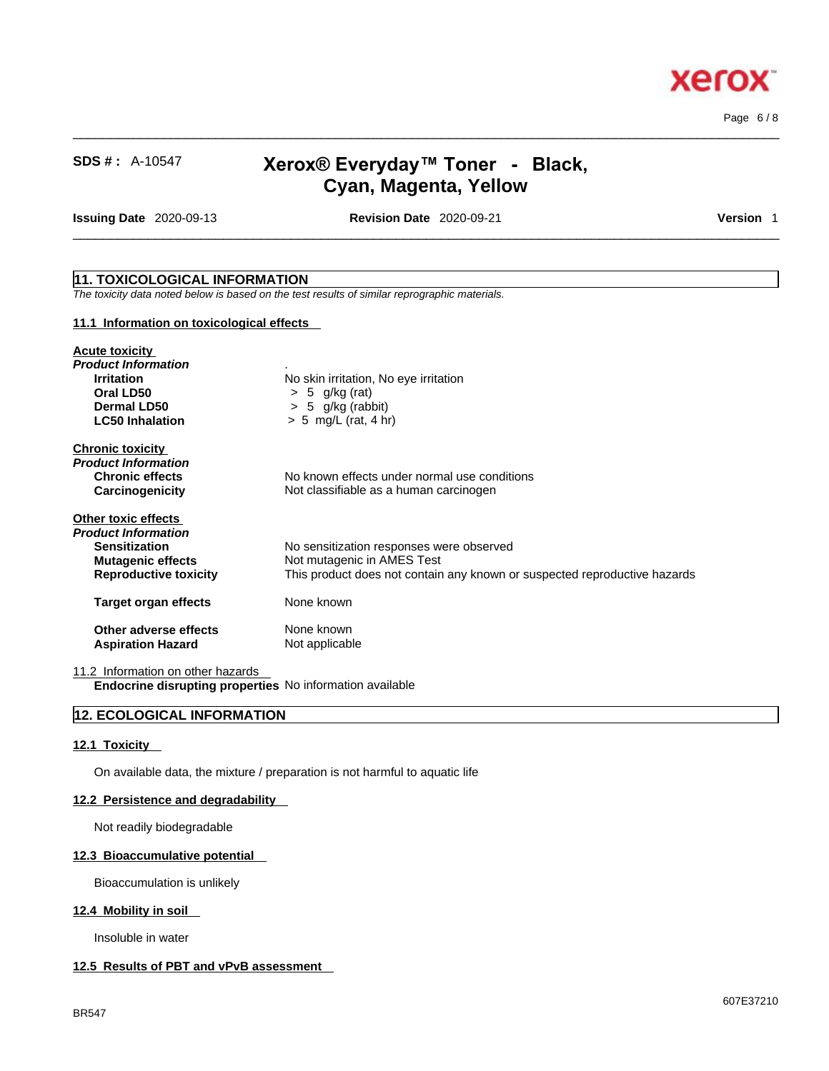

 $\_$  ,  $\_$  ,  $\_$  ,  $\_$  ,  $\_$  ,  $\_$  ,  $\_$  ,  $\_$  ,  $\_$  ,  $\_$  ,  $\_$  ,  $\_$  ,  $\_$  ,  $\_$  ,  $\_$  ,  $\_$  ,  $\_$  ,  $\_$  ,  $\_$  ,  $\_$  ,  $\_$  ,  $\_$  ,  $\_$  ,  $\_$  ,  $\_$  ,  $\_$  ,  $\_$  ,  $\_$  ,  $\_$  ,  $\_$  ,  $\_$  ,  $\_$  ,  $\_$  ,  $\_$  ,  $\_$  ,  $\_$  ,  $\_$  , Page 6 / 8

# **SDS # :** A-10547 **Xerox® Everyday™ Toner - Black, Cyan, Magenta, Yellow**

**Issuing Date** 2020-09-13 **Revision Date** 2020-09-21 **Version** 1

 $\_$  ,  $\_$  ,  $\_$  ,  $\_$  ,  $\_$  ,  $\_$  ,  $\_$  ,  $\_$  ,  $\_$  ,  $\_$  ,  $\_$  ,  $\_$  ,  $\_$  ,  $\_$  ,  $\_$  ,  $\_$  ,  $\_$  ,  $\_$  ,  $\_$  ,  $\_$  ,  $\_$  ,  $\_$  ,  $\_$  ,  $\_$  ,  $\_$  ,  $\_$  ,  $\_$  ,  $\_$  ,  $\_$  ,  $\_$  ,  $\_$  ,  $\_$  ,  $\_$  ,  $\_$  ,  $\_$  ,  $\_$  ,  $\_$  ,

# **11. TOXICOLOGICAL INFORMATION**

*The toxicity data noted below is based on the test results of similar reprographic materials.* 

#### **11.1 Information on toxicological effects**

| <b>Acute toxicity</b>             |                                                                           |
|-----------------------------------|---------------------------------------------------------------------------|
| Product Information               |                                                                           |
| <b>Irritation</b>                 | No skin irritation, No eye irritation                                     |
| Oral LD50                         | $> 5$ g/kg (rat)                                                          |
| Dermal LD50                       | $> 5$ g/kg (rabbit)                                                       |
| <b>LC50 Inhalation</b>            | $> 5$ mg/L (rat, 4 hr)                                                    |
| <b>Chronic toxicity</b>           |                                                                           |
| Product Information               |                                                                           |
| <b>Chronic effects</b>            | No known effects under normal use conditions                              |
| Carcinogenicity                   | Not classifiable as a human carcinogen                                    |
| <b>Other toxic effects</b>        |                                                                           |
| Product Information               |                                                                           |
| <b>Sensitization</b>              | No sensitization responses were observed                                  |
| <b>Mutagenic effects</b>          | Not mutagenic in AMES Test                                                |
| <b>Reproductive toxicity</b>      | This product does not contain any known or suspected reproductive hazards |
| <b>Target organ effects</b>       | None known                                                                |
| Other adverse effects             | None known                                                                |
| <b>Aspiration Hazard</b>          | Not applicable                                                            |
| 11.2 Information on other hazards |                                                                           |

**Endocrine disrupting properties** No information available

# **12. ECOLOGICAL INFORMATION**

#### **12.1 Toxicity**

On available data, the mixture / preparation is not harmful to aquatic life

#### **12.2 Persistence and degradability**

Not readily biodegradable

# **12.3 Bioaccumulative potential**

Bioaccumulation is unlikely

#### **12.4 Mobility in soil**

Insoluble in water

### **12.5 Results of PBT and vPvB assessment**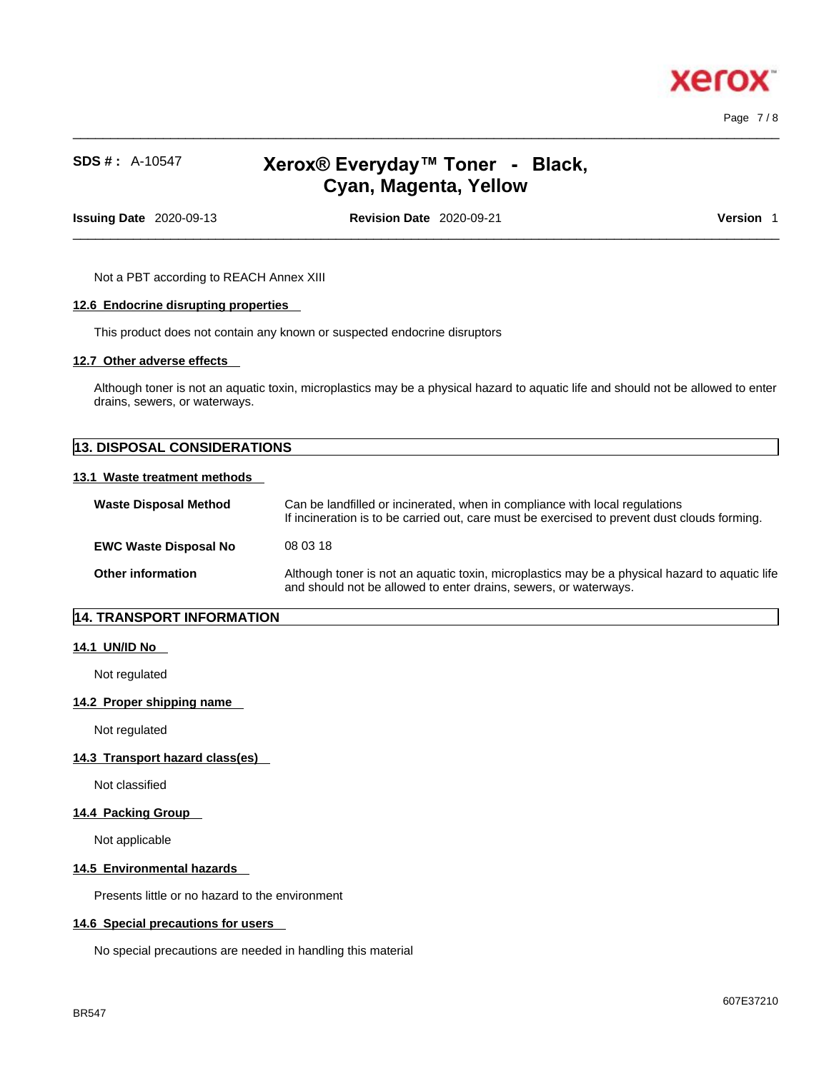

Page 7 / 8

# **SDS # :** A-10547 **Xerox® Everyday™ Toner - Black, Cyan, Magenta, Yellow**

 $\_$  ,  $\_$  ,  $\_$  ,  $\_$  ,  $\_$  ,  $\_$  ,  $\_$  ,  $\_$  ,  $\_$  ,  $\_$  ,  $\_$  ,  $\_$  ,  $\_$  ,  $\_$  ,  $\_$  ,  $\_$  ,  $\_$  ,  $\_$  ,  $\_$  ,  $\_$  ,  $\_$  ,  $\_$  ,  $\_$  ,  $\_$  ,  $\_$  ,  $\_$  ,  $\_$  ,  $\_$  ,  $\_$  ,  $\_$  ,  $\_$  ,  $\_$  ,  $\_$  ,  $\_$  ,  $\_$  ,  $\_$  ,  $\_$  ,

**Issuing Date** 2020-09-13 **Revision Date** 2020-09-21 **Version** 1

 $\_$  ,  $\_$  ,  $\_$  ,  $\_$  ,  $\_$  ,  $\_$  ,  $\_$  ,  $\_$  ,  $\_$  ,  $\_$  ,  $\_$  ,  $\_$  ,  $\_$  ,  $\_$  ,  $\_$  ,  $\_$  ,  $\_$  ,  $\_$  ,  $\_$  ,  $\_$  ,  $\_$  ,  $\_$  ,  $\_$  ,  $\_$  ,  $\_$  ,  $\_$  ,  $\_$  ,  $\_$  ,  $\_$  ,  $\_$  ,  $\_$  ,  $\_$  ,  $\_$  ,  $\_$  ,  $\_$  ,  $\_$  ,  $\_$  ,

Not a PBT according to REACH Annex XIII

#### **12.6 Endocrine disrupting properties**

This product does not contain any known or suspected endocrine disruptors

#### **12.7 Other adverse effects**

Although toner is not an aquatic toxin, microplastics may be a physical hazard to aquatic life and should not be allowed to enter drains, sewers, or waterways.

# **13. DISPOSAL CONSIDERATIONS 13.1 Waste treatment methods Waste Disposal Method** Can be landfilled or incinerated, when in compliance with local regulations If incineration is to be carried out, care must be exercised to prevent dust clouds forming. **EWC Waste Disposal No** 08 03 18 **Other information** Although toner is not an aquatic toxin, microplastics may be a physical hazard to aquatic life and should not be allowed to enter drains, sewers, or waterways.

# **14. TRANSPORT INFORMATION**

### **14.1 UN/ID No**

Not regulated

### **14.2 Proper shipping name**

Not regulated

# **14.3 Transport hazard class(es)**

Not classified

#### **14.4 Packing Group**

Not applicable

#### **14.5 Environmental hazards**

Presents little or no hazard to the environment

#### **14.6 Special precautions for users**

No special precautions are needed in handling this material